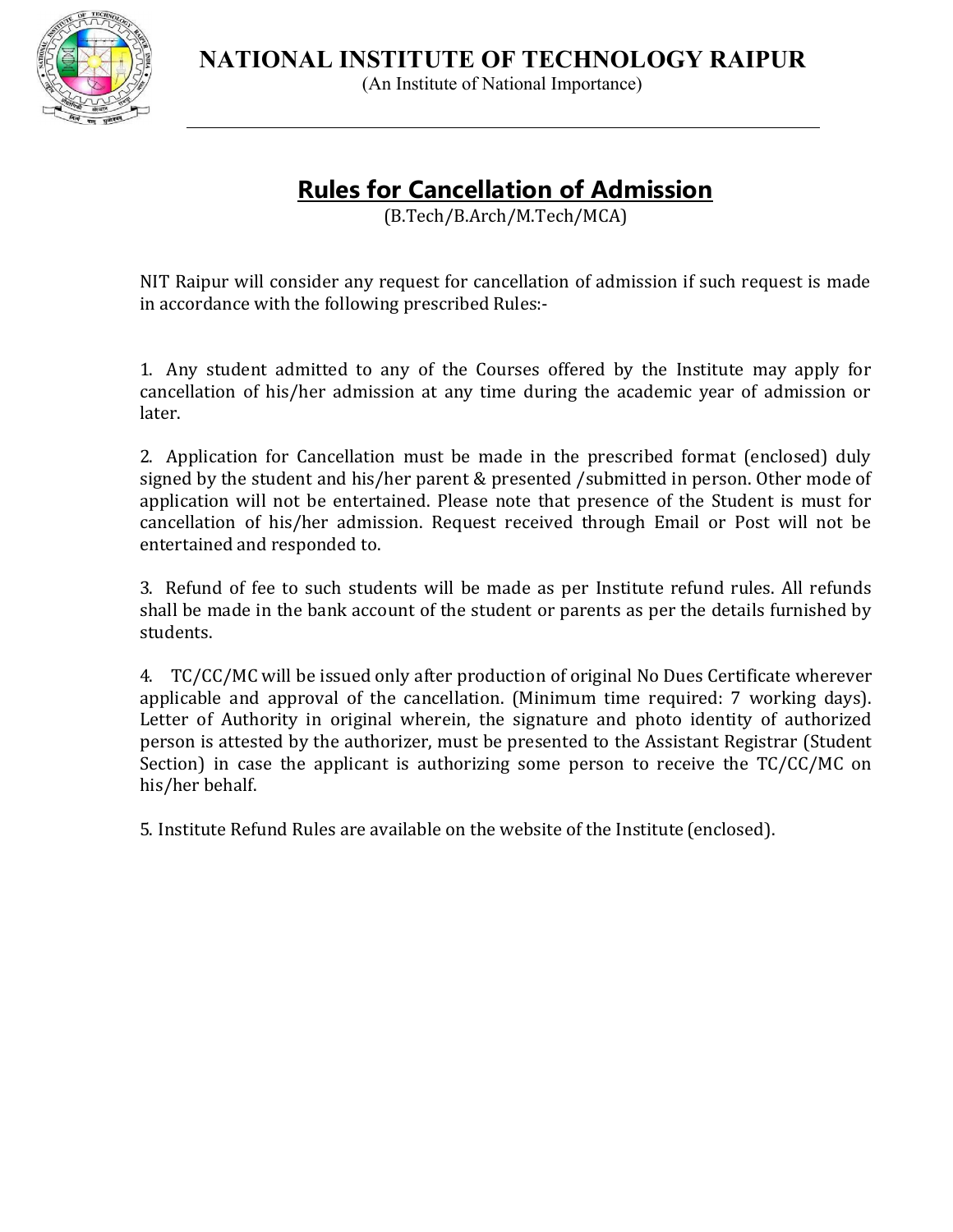**NATIONAL INSTITUTE OF TECHNOLOGY RAIPUR**



(An Institute of National Importance)

# **Rules for Cancellation of Admission**

(B.Tech/B.Arch/M.Tech/MCA)

NIT Raipur will consider any request for cancellation of admission if such request is made in accordance with the following prescribed Rules:-

1. Any student admitted to any of the Courses offered by the Institute may apply for cancellation of his/her admission at any time during the academic year of admission or later.

2. Application for Cancellation must be made in the prescribed format (enclosed) duly signed by the student and his/her parent & presented /submitted in person. Other mode of application will not be entertained. Please note that presence of the Student is must for cancellation of his/her admission. Request received through Email or Post will not be entertained and responded to.

3. Refund of fee to such students will be made as per Institute refund rules. All refunds shall be made in the bank account of the student or parents as per the details furnished by students.

4. TC/CC/MC will be issued only after production of original No Dues Certificate wherever applicable and approval of the cancellation. (Minimum time required: 7 working days). Letter of Authority in original wherein, the signature and photo identity of authorized person is attested by the authorizer, must be presented to the Assistant Registrar (Student Section) in case the applicant is authorizing some person to receive the TC/CC/MC on his/her behalf.

5. Institute Refund Rules are available on the website of the Institute (enclosed).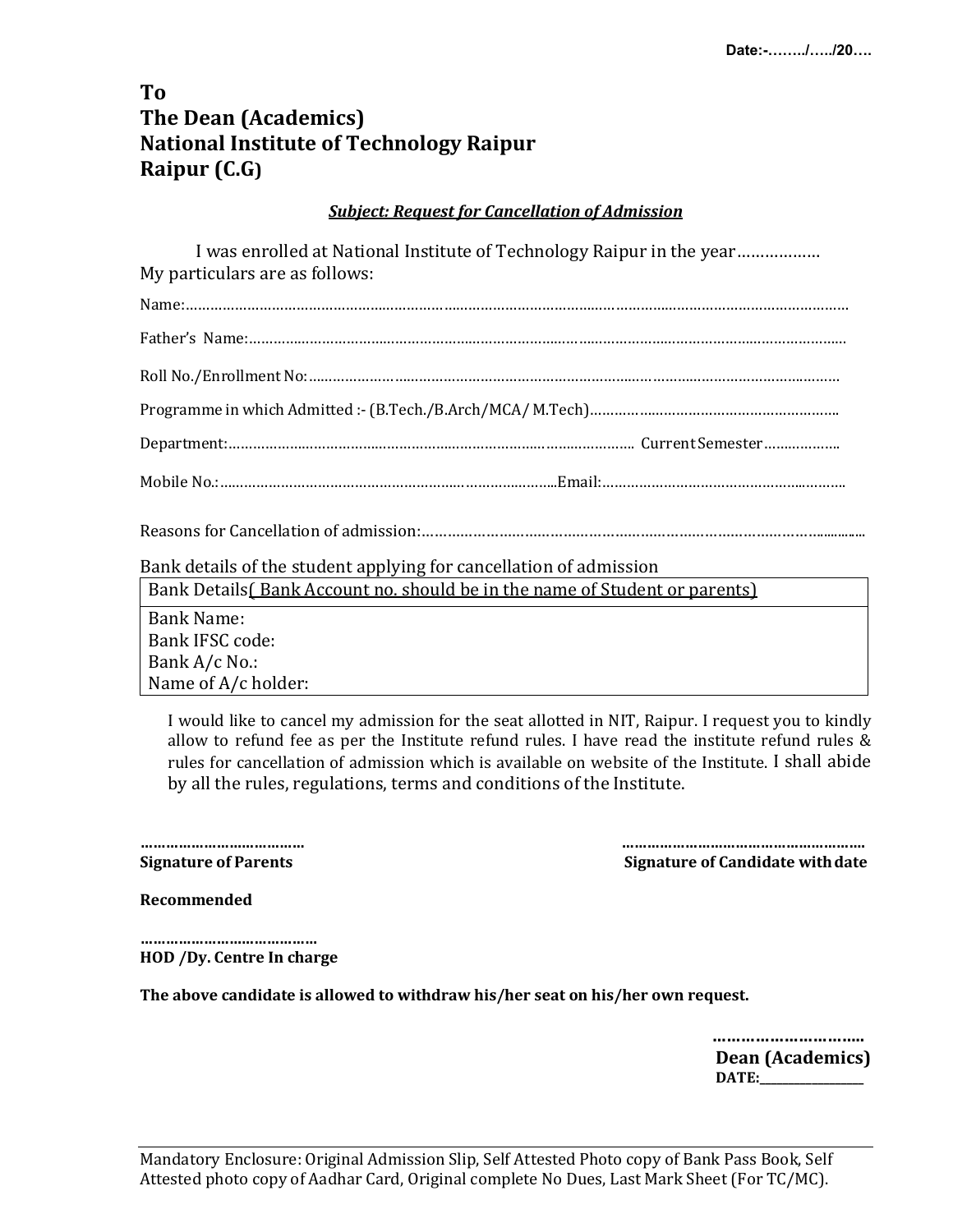# **To The Dean (Academics) National Institute of Technology Raipur Raipur** (C.G)

### **Subject: Request for Cancellation of Admission**

I was enrolled at National Institute of Technology Raipur in the year……………… My particulars are as follows:

Reasons for Cancellation of admission:………………………………………………………………………………….............

Bank details of the student applying for cancellation of admission

Bank Details( Bank Account no. should be in the name of Student or parents)

Bank Name: Bank IFSC code: Bank A/c No.: Name of A/c holder:

> I would like to cancel my admission for the seat allotted in NIT, Raipur. I request you to kindly allow to refund fee as per the Institute refund rules. I have read the institute refund rules & rules for cancellation of admission which is available on website of the Institute. I shall abide by all the rules, regulations, terms and conditions of the Institute.

**………………………………… …………………………………………………. Signature of Parents Signature of Candidate with date Signature of Candidate with date** 

**Recommended**

**…………………………………… HOD** /Dy. Centre In charge

The above candidate is allowed to withdraw his/her seat on his/her own request.

**………………………….. Dean** (Academics) **DATE:\_\_\_\_\_\_\_\_\_\_\_\_\_\_\_\_\_\_**

Mandatory Enclosure: Original Admission Slip, Self Attested Photo copy of Bank Pass Book, Self Attested photo copy of Aadhar Card, Original complete No Dues, Last Mark Sheet (For TC/MC).